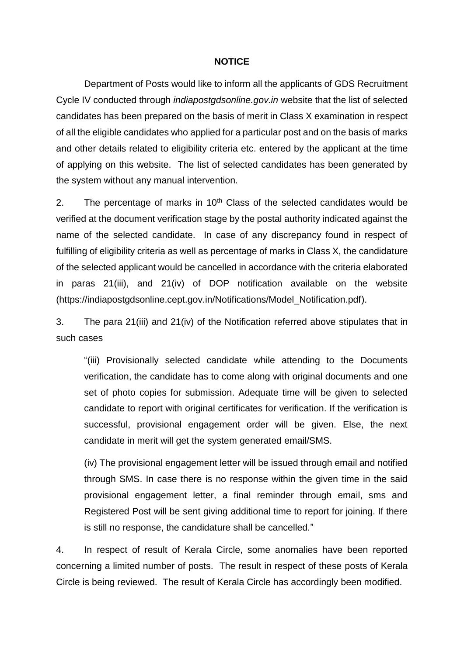## **NOTICE**

Department of Posts would like to inform all the applicants of GDS Recruitment Cycle IV conducted through *indiapostgdsonline.gov.in* website that the list of selected candidates has been prepared on the basis of merit in Class X examination in respect of all the eligible candidates who applied for a particular post and on the basis of marks and other details related to eligibility criteria etc. entered by the applicant at the time of applying on this website. The list of selected candidates has been generated by the system without any manual intervention.

2. The percentage of marks in  $10<sup>th</sup>$  Class of the selected candidates would be verified at the document verification stage by the postal authority indicated against the name of the selected candidate. In case of any discrepancy found in respect of fulfilling of eligibility criteria as well as percentage of marks in Class X, the candidature of the selected applicant would be cancelled in accordance with the criteria elaborated in paras 21(iii), and 21(iv) of DOP notification available on the website (https://indiapostgdsonline.cept.gov.in/Notifications/Model\_Notification.pdf).

3. The para 21(iii) and 21(iv) of the Notification referred above stipulates that in such cases

"(iii) Provisionally selected candidate while attending to the Documents verification, the candidate has to come along with original documents and one set of photo copies for submission. Adequate time will be given to selected candidate to report with original certificates for verification. If the verification is successful, provisional engagement order will be given. Else, the next candidate in merit will get the system generated email/SMS.

(iv) The provisional engagement letter will be issued through email and notified through SMS. In case there is no response within the given time in the said provisional engagement letter, a final reminder through email, sms and Registered Post will be sent giving additional time to report for joining. If there is still no response, the candidature shall be cancelled."

4. In respect of result of Kerala Circle, some anomalies have been reported concerning a limited number of posts. The result in respect of these posts of Kerala Circle is being reviewed. The result of Kerala Circle has accordingly been modified.